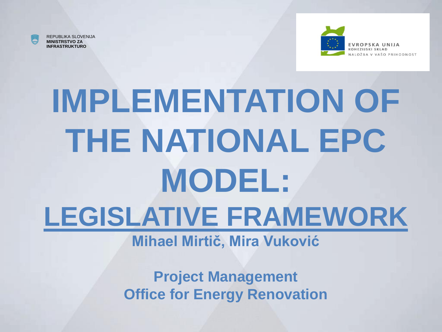

REPUBLIKA SLOVENIJA **MINISTRSTVO ZA INFRASTRUKTURO**



## **IMPLEMENTATION OF THE NATIONAL EPC MODEL: LEGISLATIVE FRAMEWORK**

#### **Mihael Mirtič, Mira Vuković**

**Project Management Office for Energy Renovation**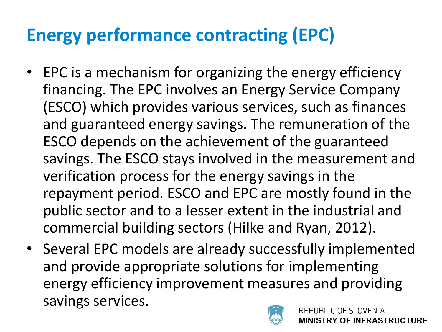#### **Energy performance contracting (EPC)**

- EPC is a mechanism for organizing the energy efficiency financing. The EPC involves an Energy Service Company (ESCO) which provides various services, such as finances and guaranteed energy savings. The remuneration of the ESCO depends on the achievement of the guaranteed savings. The ESCO stays involved in the measurement and verification process for the energy savings in the repayment period. ESCO and EPC are mostly found in the public sector and to a lesser extent in the industrial and commercial building sectors (Hilke and Ryan, 2012).
- Several EPC models are already successfully implemented and provide appropriate solutions for implementing energy efficiency improvement measures and providing savings services.

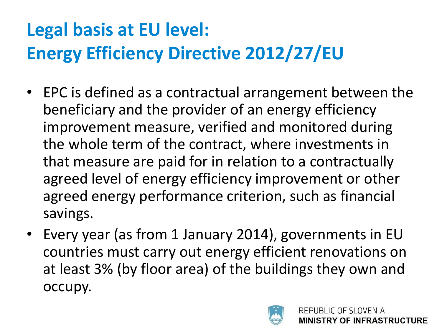### **Legal basis at EU level: Energy Efficiency Directive 2012/27/EU**

- EPC is defined as a contractual arrangement between the beneficiary and the provider of an energy efficiency improvement measure, verified and monitored during the whole term of the contract, where investments in that measure are paid for in relation to a contractually agreed level of energy efficiency improvement or other agreed energy performance criterion, such as financial savings.
- Every year (as from 1 January 2014), governments in EU countries must carry out energy efficient renovations on at least 3% (by floor area) of the buildings they own and occupy.

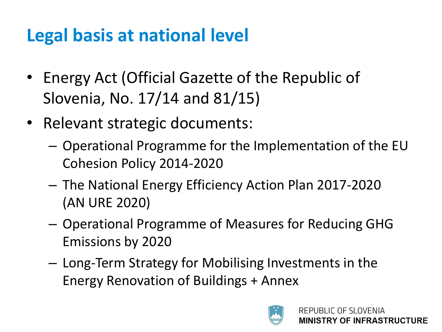#### **Legal basis at national level**

- Energy Act (Official Gazette of the Republic of Slovenia, No. 17/14 and 81/15)
- Relevant strategic documents:
	- Operational Programme for the Implementation of the EU Cohesion Policy 2014-2020
	- The National Energy Efficiency Action Plan 2017-2020 (AN URE 2020)
	- Operational Programme of Measures for Reducing GHG Emissions by 2020
	- Long-Term Strategy for Mobilising Investments in the Energy Renovation of Buildings + Annex

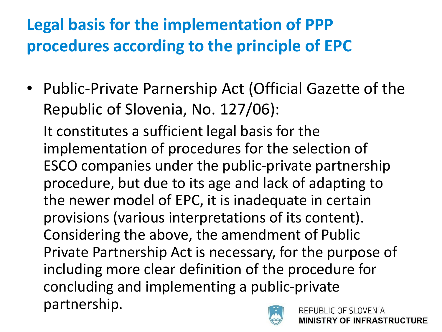#### **Legal basis for the implementation of PPP procedures according to the principle of EPC**

• Public-Private Parnership Act (Official Gazette of the Republic of Slovenia, No. 127/06):

It constitutes a sufficient legal basis for the implementation of procedures for the selection of ESCO companies under the public-private partnership procedure, but due to its age and lack of adapting to the newer model of EPC, it is inadequate in certain provisions (various interpretations of its content). Considering the above, the amendment of Public Private Partnership Act is necessary, for the purpose of including more clear definition of the procedure for concluding and implementing a public-private partnership. REPUBLIC OF SLOVENIA

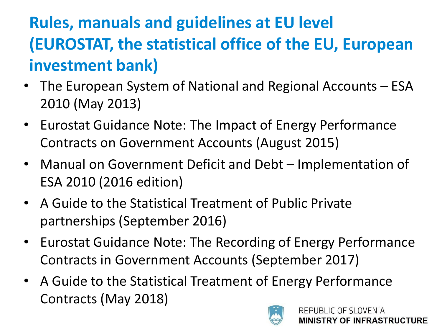#### **Rules, manuals and guidelines at EU level (EUROSTAT, the statistical office of the EU, European investment bank)**

- The European System of National and Regional Accounts ESA 2010 (May 2013)
- Eurostat Guidance Note: The Impact of Energy Performance Contracts on Government Accounts (August 2015)
- Manual on Government Deficit and Debt Implementation of ESA 2010 (2016 edition)
- A Guide to the Statistical Treatment of Public Private partnerships (September 2016)
- Eurostat Guidance Note: The Recording of Energy Performance Contracts in Government Accounts (September 2017)
- A Guide to the Statistical Treatment of Energy Performance Contracts (May 2018)

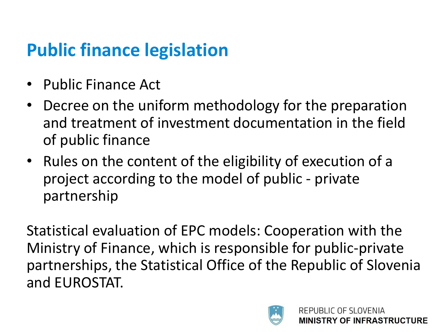#### **Public finance legislation**

- Public Finance Act
- Decree on the uniform methodology for the preparation and treatment of investment documentation in the field of public finance
- Rules on the content of the eligibility of execution of a project according to the model of public - private partnership

Statistical evaluation of EPC models: Cooperation with the Ministry of Finance, which is responsible for public-private partnerships, the Statistical Office of the Republic of Slovenia and EUROSTAT.

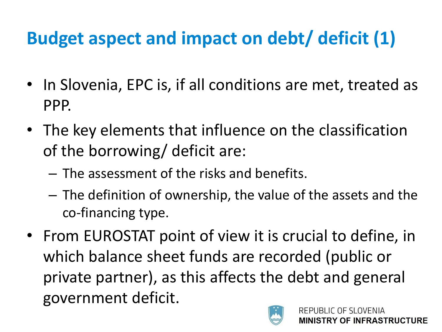#### **Budget aspect and impact on debt/ deficit (1)**

- In Slovenia, EPC is, if all conditions are met, treated as PPP.
- The key elements that influence on the classification of the borrowing/ deficit are:
	- The assessment of the risks and benefits.
	- The definition of ownership, the value of the assets and the co-financing type.
- From EUROSTAT point of view it is crucial to define, in which balance sheet funds are recorded (public or private partner), as this affects the debt and general government deficit.

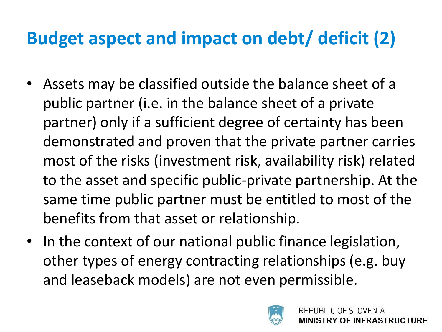#### **Budget aspect and impact on debt/ deficit (2)**

- Assets may be classified outside the balance sheet of a public partner (i.e. in the balance sheet of a private partner) only if a sufficient degree of certainty has been demonstrated and proven that the private partner carries most of the risks (investment risk, availability risk) related to the asset and specific public-private partnership. At the same time public partner must be entitled to most of the benefits from that asset or relationship.
- In the context of our national public finance legislation, other types of energy contracting relationships (e.g. buy and leaseback models) are not even permissible.

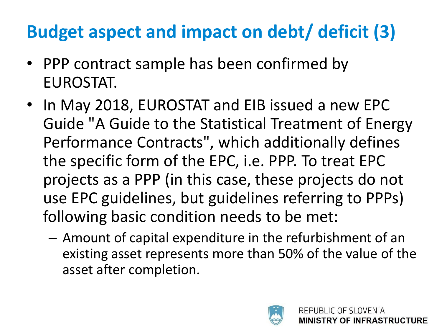#### **Budget aspect and impact on debt/ deficit (3)**

- PPP contract sample has been confirmed by EUROSTAT.
- In May 2018, EUROSTAT and EIB issued a new EPC Guide "A Guide to the Statistical Treatment of Energy Performance Contracts", which additionally defines the specific form of the EPC, i.e. PPP. To treat EPC projects as a PPP (in this case, these projects do not use EPC guidelines, but guidelines referring to PPPs) following basic condition needs to be met:
	- Amount of capital expenditure in the refurbishment of an existing asset represents more than 50% of the value of the asset after completion.